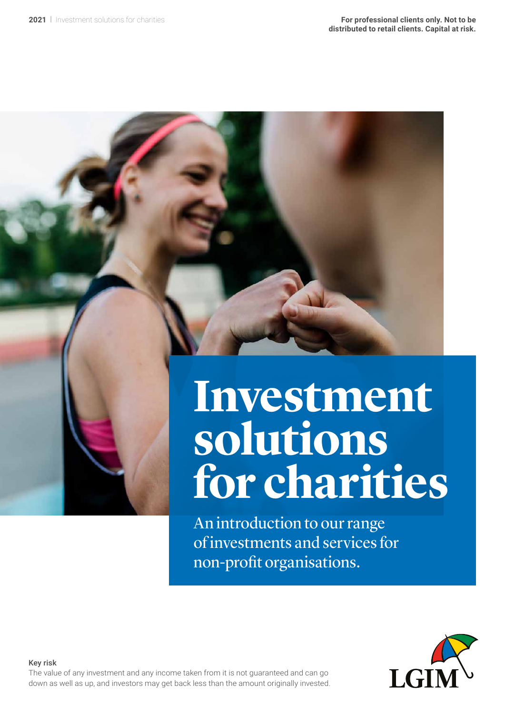

An introduction to our range of investments and services for non-profit organisations.



#### Key risk

The value of any investment and any income taken from it is not guaranteed and can go down as well as up, and investors may get back less than the amount originally invested.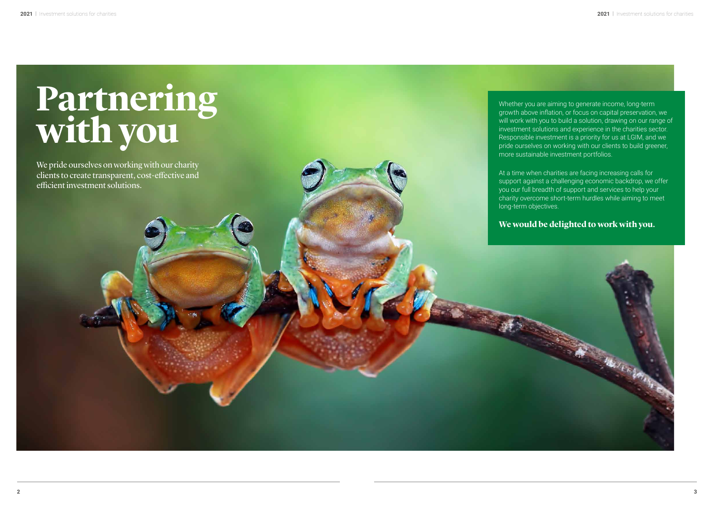Whether you are aiming to generate income, long-term growth above inflation, or focus on capital preservation, we will work with you to build a solution, drawing on our range of investment solutions and experience in the charities sector. Responsible investment is a priority for us at LGIM, and we pride ourselves on working with our clients to build greener, more sustainable investment portfolios.

We pride ourselves on working with our charity clients to create transparent, cost-effective and efficient investment solutions.

At a time when charities are facing increasing calls for support against a challenging economic backdrop, we offer you our full breadth of support and services to help your charity overcome short-term hurdles while aiming to meet long-term objectives.

Veren

## **We would be delighted to work with you.**



# **Partnering with you**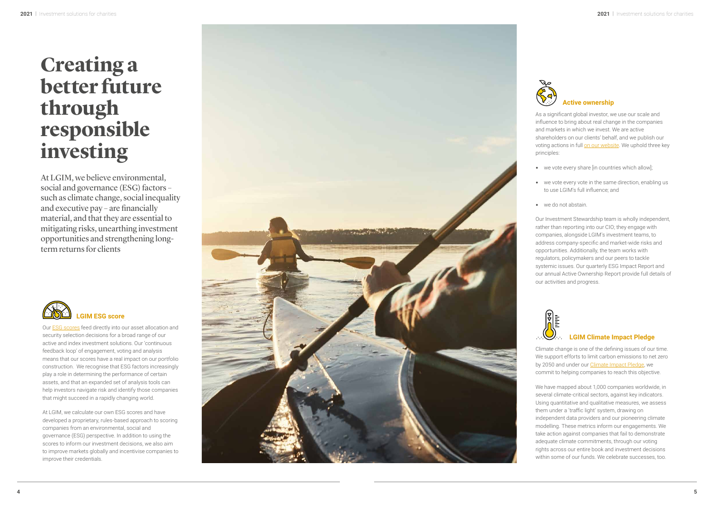## **Creating a better future through responsible investing**

At LGIM, we believe environmental, social and governance (ESG) factors – such as climate change, social inequality and executive pay – are financially material, and that they are essential to mitigating risks, unearthing investment opportunities and strengthening longterm returns for clients



Our [ESG scores](https://esgscores-lgim.huguenots.co.uk/uk/en/) feed directly into our asset allocation and security selection decisions for a broad range of our active and index investment solutions. Our 'continuous feedback loop' of engagement, voting and analysis means that our scores have a real impact on our portfolio construction. We recognise that ESG factors increasingly play a role in determining the performance of certain assets, and that an expanded set of analysis tools can help investors navigate risk and identify those companies that might succeed in a rapidly changing world.

At LGIM, we calculate our own ESG scores and have developed a proprietary, rules-based approach to scoring companies from an environmental, social and governance (ESG) perspective. In addition to using the scores to inform our investment decisions, we also aim to improve markets globally and incentivise companies to improve their credentials.





As a significant global investor, we use our scale and influence to bring about real change in the companies and markets in which we invest. We are active shareholders on our clients' behalf, and we publish our voting actions in full [on our website](https://vds.issgovernance.com/vds/#/MjU2NQ==/ ). We uphold three key principles:

- we vote every share [in countries which allow];
- we vote every vote in the same direction, enabling us to use LGIM's full influence; and
- we do not abstain.

Our Investment Stewardship team is wholly independent, rather than reporting into our CIO; they engage with companies, alongside LGIM's investment teams, to address company-specific and market-wide risks and opportunities. Additionally, the team works with regulators, policymakers and our peers to tackle systemic issues. Our quarterly ESG Impact Report and our annual Active Ownership Report provide full details of our activities and progress.



## **LGIM Climate Impact Pledge**

Climate change is one of the defining issues of our time. We support efforts to limit carbon emissions to net zero by 2050 and under our [Climate Impact Pledge,](https://www.lgim.com/uk/en/responsible-investing/climate-impact-pledge/) we commit to helping companies to reach this objective.

We have mapped about 1,000 companies worldwide, in several climate-critical sectors, against key indicators. Using quantitative and qualitative measures, we assess them under a 'traffic light' system, drawing on independent data providers and our pioneering climate modelling. These metrics inform our engagements. We take action against companies that fail to demonstrate adequate climate commitments, through our voting rights across our entire book and investment decisions within some of our funds. We celebrate successes, too.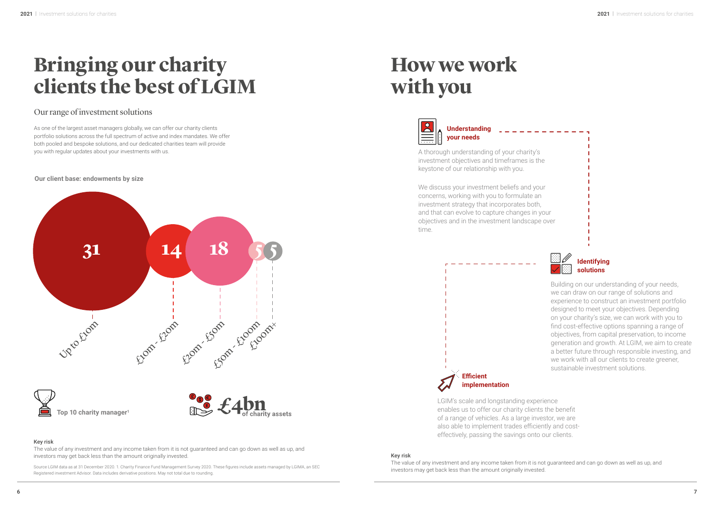| ζ      |  |  |
|--------|--|--|
|        |  |  |
| ne     |  |  |
|        |  |  |
|        |  |  |
|        |  |  |
| ıur    |  |  |
| ่า     |  |  |
| Ì,     |  |  |
| your   |  |  |
| e over |  |  |
|        |  |  |

The value of any investment and any income taken from it is not guaranteed and can go down as well as up, and investors may get back less than the amount originally invested. The contract of the contract of the contract of the contract of the contract of the contract of the contract of the contract of the contract of the contract

### Key risk

As one of the largest asset managers globally, we can offer our charity clients portfolio solutions across the full spectrum of active and index mandates. We offer both pooled and bespoke solutions, and our dedicated charities team will provide you with regular updates about your investments with us.  $\hskip 1.5cm A$  thorough understanding of your charity's

> The value of any investment and any income taken from it is not guaranteed and can go down as well as up, and investors may get back less than the amount originally invested.

## **Bringing our charity clients the best of LGIM**

investment objectives and timeframes is the keystone of our relationship with you.

## **How we work with you**



## Our range of investment solutions

We discuss your investment beliefs and you concerns, working with you to formulate an investment strategy that incorporates both, and that can evolve to capture changes in objectives and in the investment landscape time.

> Building on our understanding of your needs, we can draw on our range of solutions and experience to construct an investment portfolio designed to meet your objectives. Depending on your charity's size, we can work with you to find cost-effective options spanning a range of objectives, from capital preservation, to income generation and growth. At LGIM, we aim to create a better future through responsible investing, and we work with all our clients to create greener, sustainable investment solutions.

LGIM's scale and longstanding experience enables us to offer our charity clients the benefit of a range of vehicles. As a large investor, we are also able to implement trades efficiently and costeffectively, passing the savings onto our clients.

**Understanding your needs**





**Our client base: endowments by size**



Source LGIM data as at 31 December 2020. 1. Charity Finance Fund Management Survey 2020. These figures include assets managed by LGIMA, an SEC Registered investment Advisor. Data includes derivative positions. May not total due to rounding.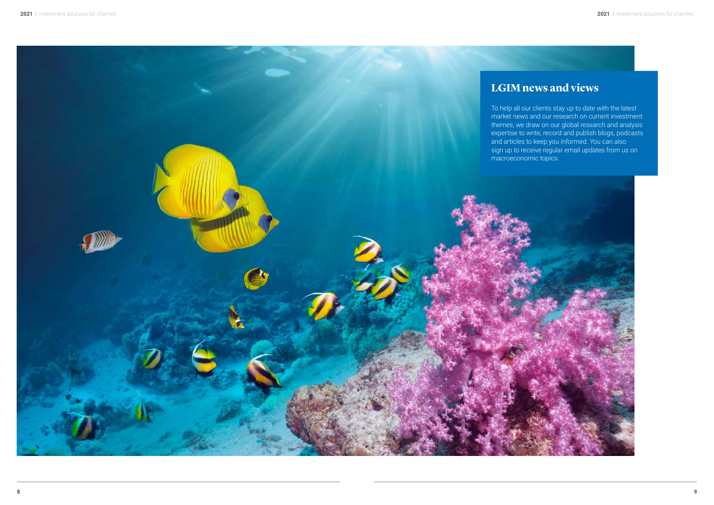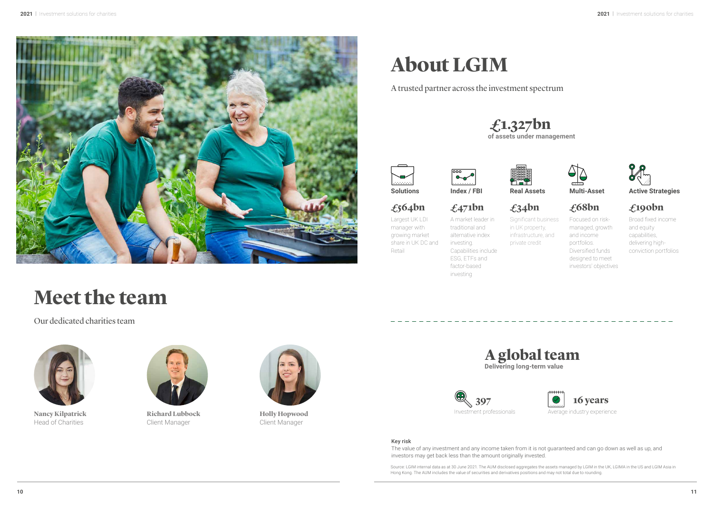## **Creating a** better future through responsible<br>investing

At LGIM, we believe environmental, social and governance (ESG) factors such as climate change, social inequality and executive pay – are financially material, and that they are essential to mitigating risks, unearthing investment opportunities and strengthening longterm returns for clients



r sres ee irey i r sse i seriy seei eisis r r re r ie ie iese sis r is eek eee i ysis es rsrese rei rri sri e reise rs iresiy y re i eerii e erre eri sses ee se ysis s e iesrs ie risk ieiy se ies i see i riv i r

e e r sres e eee rriery resse r sri ies r eire si ere erseie ii si e sres ir riese eisis e si ire rkes y ieiise ies ire eir reeis





s a significant g oba investor e use our sca e and in uence to bring about rea c ange in t e com anies rkes i i e jes e re je sreers ries e e is r

i is i resie e ree key riies

e e eery sre i ries i

e e eery e i e se irei ei s to use s fu in uence and

e si

r ese ersi e is y ieee rer reriir ey ee i ies sie s iese es address com an s ecific and mar et ide ris s and riies iiy e e rks i rers iykers reers ke sysei isses r rery er r ie ersi er rie eis

r iiies rress



## **EGIM Climate Impact Pledge**

imate c ange is one of t e defining issues of our time e sr ers ii r eissis e er v er r ie ee  $\epsilon$ i ei ies re is eie e e e ies rie i seer ierii sers is key iirs si iie iie esres e ssess t em under a tra c ig t s stem dra ing on jeee riers rieerije ei ese eris ir r eees e ke i is ies i esre ee je jes r r j ris rss r eire k iese eisis ij se r s e eere sesses